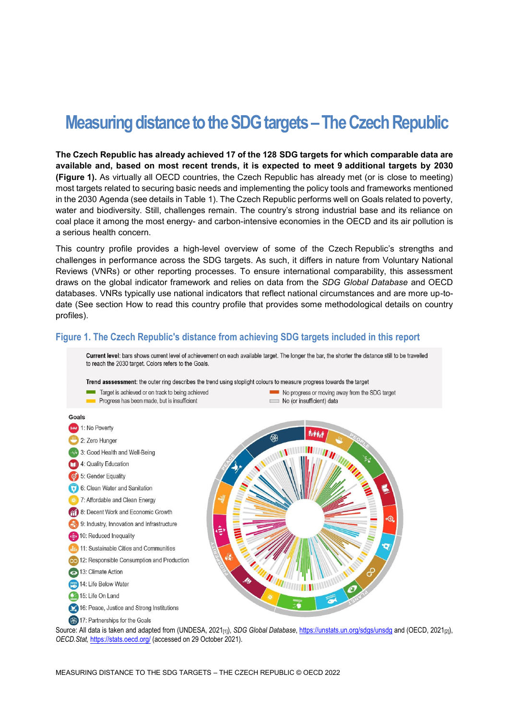# **Measuring distance to the SDG targets –The Czech Republic**

**The Czech Republic has already achieved 17 of the 128 SDG targets for which comparable data are available and, based on most recent trends, it is expected to meet 9 additional targets by 2030 [\(Figure](#page-0-0) 1).** As virtually all OECD countries, the Czech Republic has already met (or is close to meeting) most targets related to securing basic needs and implementing the policy tools and frameworks mentioned in the 2030 Agenda (see details in [Table](#page-3-0) 1). The Czech Republic performs well on Goals related to poverty, water and biodiversity. Still, challenges remain. The country's strong industrial base and its reliance on coal place it among the most energy- and carbon-intensive economies in the OECD and its air pollution is a serious health concern.

This country profile provides a high-level overview of some of the Czech Republic's strengths and challenges in performance across the SDG targets. As such, it differs in nature from Voluntary National Reviews (VNRs) or other reporting processes. To ensure international comparability, this assessment draws on the global indicator framework and relies on data from the *SDG Global Database* and OECD databases. VNRs typically use national indicators that reflect national circumstances and are more up-todate (See section [How to read this](#page-7-0) country profile that provides some methodological details on country profiles).

### <span id="page-0-0"></span>**Figure 1. The Czech Republic's distance from achieving SDG targets included in this report**



Source: All data is taken and adapted from (UNDESA, 2021<sub>[1]</sub>), *SDG Global Database*[, https://unstats.un.org/sdgs/unsdg](https://unstats.un.org/sdgs/unsdg) and (OECD, 2021<sub>[2]</sub>), *OECD.Stat,* <https://stats.oecd.org/> (accessed on 29 October 2021).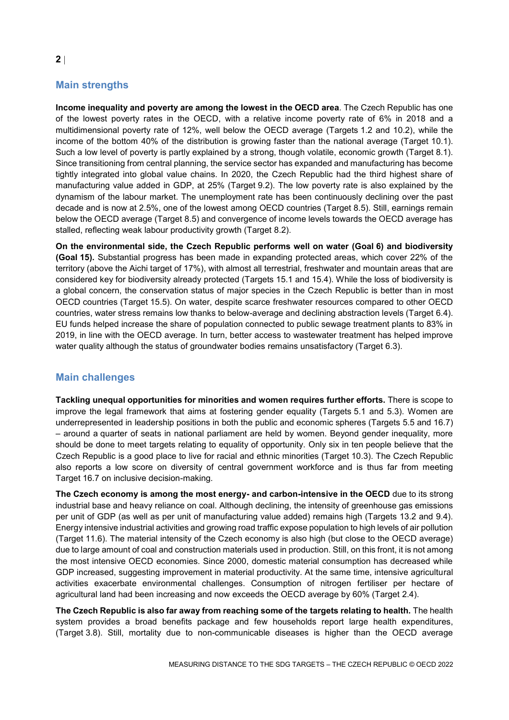## **Main strengths**

**Income inequality and poverty are among the lowest in the OECD area**. The Czech Republic has one of the lowest poverty rates in the OECD, with a relative income poverty rate of 6% in 2018 and a multidimensional poverty rate of 12%, well below the OECD average (Targets 1.2 and 10.2), while the income of the bottom 40% of the distribution is growing faster than the national average (Target 10.1). Such a low level of poverty is partly explained by a strong, though volatile, economic growth (Target 8.1). Since transitioning from central planning, the service sector has expanded and manufacturing has become tightly integrated into global value chains. In 2020, the Czech Republic had the third highest share of manufacturing value added in GDP, at 25% (Target 9.2). The low poverty rate is also explained by the dynamism of the labour market. The unemployment rate has been continuously declining over the past decade and is now at 2.5%, one of the lowest among OECD countries (Target 8.5). Still, earnings remain below the OECD average (Target 8.5) and convergence of income levels towards the OECD average has stalled, reflecting weak labour productivity growth (Target 8.2).

**On the environmental side, the Czech Republic performs well on water (Goal 6) and biodiversity (Goal 15).** Substantial progress has been made in expanding protected areas, which cover 22% of the territory (above the Aichi target of 17%), with almost all terrestrial, freshwater and mountain areas that are considered key for biodiversity already protected (Targets 15.1 and 15.4). While the loss of biodiversity is a global concern, the conservation status of major species in the Czech Republic is better than in most OECD countries (Target 15.5). On water, despite scarce freshwater resources compared to other OECD countries, water stress remains low thanks to below-average and declining abstraction levels (Target 6.4). EU funds helped increase the share of population connected to public sewage treatment plants to 83% in 2019, in line with the OECD average. In turn, better access to wastewater treatment has helped improve water quality although the status of groundwater bodies remains unsatisfactory (Target 6.3).

## **Main challenges**

**Tackling unequal opportunities for minorities and women requires further efforts.** There is scope to improve the legal framework that aims at fostering gender equality (Targets 5.1 and 5.3). Women are underrepresented in leadership positions in both the public and economic spheres (Targets 5.5 and 16.7) – around a quarter of seats in national parliament are held by women. Beyond gender inequality, more should be done to meet targets relating to equality of opportunity. Only six in ten people believe that the Czech Republic is a good place to live for racial and ethnic minorities (Target 10.3). The Czech Republic also reports a low score on diversity of central government workforce and is thus far from meeting Target 16.7 on inclusive decision-making.

**The Czech economy is among the most energy- and carbon-intensive in the OECD** due to its strong industrial base and heavy reliance on coal. Although declining, the intensity of greenhouse gas emissions per unit of GDP (as well as per unit of manufacturing value added) remains high (Targets 13.2 and 9.4). Energy intensive industrial activities and growing road traffic expose population to high levels of air pollution (Target 11.6). The material intensity of the Czech economy is also high (but close to the OECD average) due to large amount of coal and construction materials used in production. Still, on this front, it is not among the most intensive OECD economies. Since 2000, domestic material consumption has decreased while GDP increased, suggesting improvement in material productivity. At the same time, intensive agricultural activities exacerbate environmental challenges. Consumption of nitrogen fertiliser per hectare of agricultural land had been increasing and now exceeds the OECD average by 60% (Target 2.4).

**The Czech Republic is also far away from reaching some of the targets relating to health.** The health system provides a broad benefits package and few households report large health expenditures, (Target 3.8). Still, mortality due to non-communicable diseases is higher than the OECD average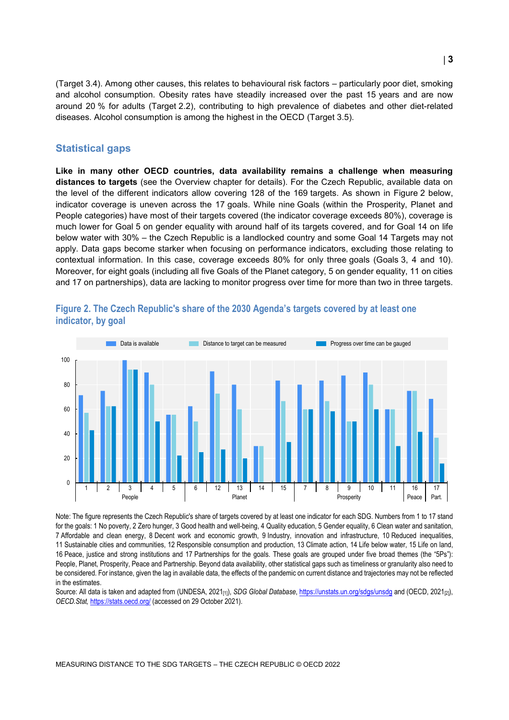(Target 3.4). Among other causes, this relates to behavioural risk factors – particularly poor diet, smoking and alcohol consumption. Obesity rates have steadily increased over the past 15 years and are now around 20 % for adults (Target 2.2), contributing to high prevalence of diabetes and other diet-related diseases. Alcohol consumption is among the highest in the OECD (Target 3.5).

#### **Statistical gaps**

**Like in many other OECD countries, data availability remains a challenge when measuring distances to targets** (see the Overview chapter for details). For the Czech Republic, available data on the level of the different indicators allow covering 128 of the 169 targets. As shown in [Figure](#page-2-0) 2 below, indicator coverage is uneven across the 17 goals. While nine Goals (within the Prosperity, Planet and People categories) have most of their targets covered (the indicator coverage exceeds 80%), coverage is much lower for Goal 5 on gender equality with around half of its targets covered, and for Goal 14 on life below water with 30% – the Czech Republic is a landlocked country and some Goal 14 Targets may not apply. Data gaps become starker when focusing on performance indicators, excluding those relating to contextual information. In this case, coverage exceeds 80% for only three goals (Goals 3, 4 and 10). Moreover, for eight goals (including all five Goals of the Planet category, 5 on gender equality, 11 on cities and 17 on partnerships), data are lacking to monitor progress over time for more than two in three targets.



## <span id="page-2-0"></span>**Figure 2. The Czech Republic's share of the 2030 Agenda's targets covered by at least one indicator, by goal**

Note: The figure represents the Czech Republic's share of targets covered by at least one indicator for each SDG. Numbers from 1 to 17 stand for the goals: 1 No poverty, 2 Zero hunger, 3 Good health and well-being, 4 Quality education, 5 Gender equality, 6 Clean water and sanitation, 7 Affordable and clean energy, 8 Decent work and economic growth, 9 Industry, innovation and infrastructure, 10 Reduced inequalities, 11 Sustainable cities and communities, 12 Responsible consumption and production, 13 Climate action, 14 Life below water, 15 Life on land, 16 Peace, justice and strong institutions and 17 Partnerships for the goals. These goals are grouped under five broad themes (the "5Ps"): People, Planet, Prosperity, Peace and Partnership. Beyond data availability, other statistical gaps such as timeliness or granularity also need to be considered. For instance, given the lag in available data, the effects of the pandemic on current distance and trajectories may not be reflected in the estimates.

Source: All data is taken and adapted from (UNDESA, 2021<sub>[1]</sub>), *SDG Global Database*[, https://unstats.un.org/sdgs/unsdg](https://unstats.un.org/sdgs/unsdg) and (OECD, 2021<sub>[2]</sub>), *OECD.Stat,* <https://stats.oecd.org/> (accessed on 29 October 2021).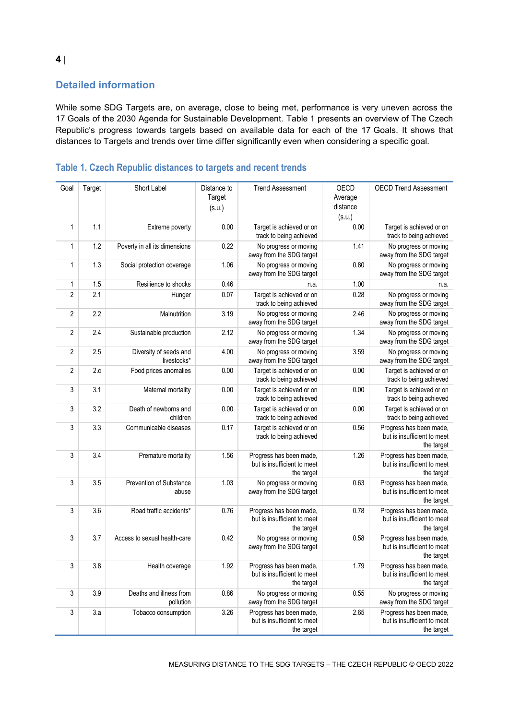# **Detailed information**

While some SDG Targets are, on average, close to being met, performance is very uneven across the 17 Goals of the 2030 Agenda for Sustainable Development. [Table](#page-3-0) 1 presents an overview of The Czech Republic's progress towards targets based on available data for each of the 17 Goals. It shows that distances to Targets and trends over time differ significantly even when considering a specific goal.

| Goal           | Target | Short Label                           | Distance to<br>Target<br>(s.u.) | <b>Trend Assessment</b>                                              | OECD<br>Average<br>distance<br>(s.u.) | <b>OECD Trend Assessment</b>                                         |
|----------------|--------|---------------------------------------|---------------------------------|----------------------------------------------------------------------|---------------------------------------|----------------------------------------------------------------------|
| $\mathbf{1}$   | 1.1    | Extreme poverty                       | 0.00                            | Target is achieved or on<br>track to being achieved                  | 0.00                                  | Target is achieved or on<br>track to being achieved                  |
| $\mathbf{1}$   | 1.2    | Poverty in all its dimensions         | 0.22                            | No progress or moving<br>away from the SDG target                    | 1.41                                  | No progress or moving<br>away from the SDG target                    |
| $\mathbf{1}$   | 1.3    | Social protection coverage            | 1.06                            | No progress or moving<br>away from the SDG target                    | 0.80                                  | No progress or moving<br>away from the SDG target                    |
| 1              | 1.5    | Resilience to shocks                  | 0.46                            | n.a.                                                                 | 1.00                                  | n.a.                                                                 |
| $\overline{2}$ | 2.1    | Hunger                                | 0.07                            | Target is achieved or on<br>track to being achieved                  | 0.28                                  | No progress or moving<br>away from the SDG target                    |
| $\overline{2}$ | 2.2    | Malnutrition                          | 3.19                            | No progress or moving<br>away from the SDG target                    | 2.46                                  | No progress or moving<br>away from the SDG target                    |
| $\overline{2}$ | 2.4    | Sustainable production                | 2.12                            | No progress or moving<br>away from the SDG target                    | 1.34                                  | No progress or moving<br>away from the SDG target                    |
| $\overline{2}$ | 2.5    | Diversity of seeds and<br>livestocks* | 4.00                            | No progress or moving<br>away from the SDG target                    | 3.59                                  | No progress or moving<br>away from the SDG target                    |
| $\overline{2}$ | 2.c    | Food prices anomalies                 | 0.00                            | Target is achieved or on<br>track to being achieved                  | 0.00                                  | Target is achieved or on<br>track to being achieved                  |
| 3              | 3.1    | Maternal mortality                    | 0.00                            | Target is achieved or on<br>track to being achieved                  | 0.00                                  | Target is achieved or on<br>track to being achieved                  |
| 3              | 3.2    | Death of newborns and<br>children     | 0.00                            | Target is achieved or on<br>track to being achieved                  | 0.00                                  | Target is achieved or on<br>track to being achieved                  |
| 3              | 3.3    | Communicable diseases                 | 0.17                            | Target is achieved or on<br>track to being achieved                  | 0.56                                  | Progress has been made,<br>but is insufficient to meet<br>the target |
| 3              | 3.4    | Premature mortality                   | 1.56                            | Progress has been made,<br>but is insufficient to meet<br>the target | 1.26                                  | Progress has been made,<br>but is insufficient to meet<br>the target |
| 3              | 3.5    | Prevention of Substance<br>abuse      | 1.03                            | No progress or moving<br>away from the SDG target                    | 0.63                                  | Progress has been made,<br>but is insufficient to meet<br>the target |
| 3              | 3.6    | Road traffic accidents*               | 0.76                            | Progress has been made,<br>but is insufficient to meet<br>the target | 0.78                                  | Progress has been made,<br>but is insufficient to meet<br>the target |
| 3              | 3.7    | Access to sexual health-care          | 0.42                            | No progress or moving<br>away from the SDG target                    | 0.58                                  | Progress has been made,<br>but is insufficient to meet<br>the target |
| 3              | 3.8    | Health coverage                       | 1.92                            | Progress has been made,<br>but is insufficient to meet<br>the target | 1.79                                  | Progress has been made,<br>but is insufficient to meet<br>the target |
| 3              | 3.9    | Deaths and illness from<br>pollution  | 0.86                            | No progress or moving<br>away from the SDG target                    | 0.55                                  | No progress or moving<br>away from the SDG target                    |
| $\sqrt{3}$     | 3.a    | Tobacco consumption                   | 3.26                            | Progress has been made,<br>but is insufficient to meet<br>the target | 2.65                                  | Progress has been made,<br>but is insufficient to meet<br>the target |

## <span id="page-3-0"></span>**Table 1. Czech Republic distances to targets and recent trends**

**4**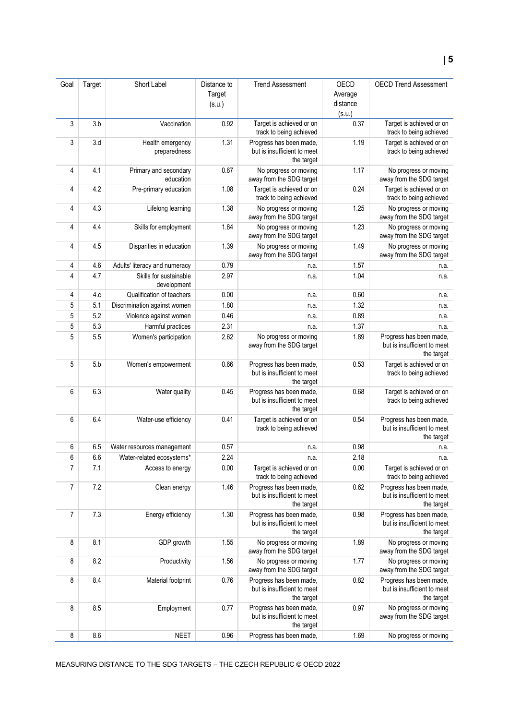| Goal           | Target | Short Label                           | Distance to      | <b>Trend Assessment</b>                                              | OECD                          | <b>OECD Trend Assessment</b>                                         |
|----------------|--------|---------------------------------------|------------------|----------------------------------------------------------------------|-------------------------------|----------------------------------------------------------------------|
|                |        |                                       | Target<br>(s.u.) |                                                                      | Average<br>distance<br>(s.u.) |                                                                      |
| 3              | 3.b    | Vaccination                           | 0.92             | Target is achieved or on<br>track to being achieved                  | 0.37                          | Target is achieved or on<br>track to being achieved                  |
| 3              | 3.d    | Health emergency<br>preparedness      | 1.31             | Progress has been made,<br>but is insufficient to meet<br>the target | 1.19                          | Target is achieved or on<br>track to being achieved                  |
| 4              | 4.1    | Primary and secondary<br>education    | 0.67             | No progress or moving<br>away from the SDG target                    | 1.17                          | No progress or moving<br>away from the SDG target                    |
| 4              | 4.2    | Pre-primary education                 | 1.08             | Target is achieved or on<br>track to being achieved                  | 0.24                          | Target is achieved or on<br>track to being achieved                  |
| 4              | 4.3    | Lifelong learning                     | 1.38             | No progress or moving<br>away from the SDG target                    | 1.25                          | No progress or moving<br>away from the SDG target                    |
| 4              | 4.4    | Skills for employment                 | 1.84             | No progress or moving<br>away from the SDG target                    | 1.23                          | No progress or moving<br>away from the SDG target                    |
| 4              | 4.5    | Disparities in education              | 1.39             | No progress or moving<br>away from the SDG target                    | 1.49                          | No progress or moving<br>away from the SDG target                    |
| 4              | 4.6    | Adults' literacy and numeracy         | 0.79             | n.a.                                                                 | 1.57                          | n.a.                                                                 |
| 4              | 4.7    | Skills for sustainable<br>development | 2.97             | n.a.                                                                 | 1.04                          | n.a.                                                                 |
| 4              | 4.c    | Qualification of teachers             | 0.00             | n.a.                                                                 | 0.60                          | n.a.                                                                 |
| 5              | 5.1    | Discrimination against women          | 1.80             | n.a.                                                                 | 1.32                          | n.a.                                                                 |
| 5              | 5.2    | Violence against women                | 0.46             | n.a.                                                                 | 0.89                          | n.a.                                                                 |
| 5              | 5.3    | Harmful practices                     | 2.31             | n.a.                                                                 | 1.37                          | n.a.                                                                 |
| 5              | 5.5    | Women's participation                 | 2.62             | No progress or moving<br>away from the SDG target                    | 1.89                          | Progress has been made,<br>but is insufficient to meet<br>the target |
| 5              | 5.b    | Women's empowerment                   | 0.66             | Progress has been made,<br>but is insufficient to meet<br>the target | 0.53                          | Target is achieved or on<br>track to being achieved                  |
| 6              | 6.3    | Water quality                         | 0.45             | Progress has been made,<br>but is insufficient to meet<br>the target | 0.68                          | Target is achieved or on<br>track to being achieved                  |
| 6              | 6.4    | Water-use efficiency                  | 0.41             | Target is achieved or on<br>track to being achieved                  | 0.54                          | Progress has been made,<br>but is insufficient to meet<br>the target |
| 6              | 6.5    | Water resources management            | 0.57             | n.a.                                                                 | 0.98                          | n.a.                                                                 |
| 6              | 6.6    | Water-related ecosystems*             | 2.24             | n.a.                                                                 | 2.18                          | n.a                                                                  |
| $\overline{7}$ | 7.1    | Access to energy                      | 0.00             | Target is achieved or on<br>track to being achieved                  | 0.00                          | Target is achieved or on<br>track to being achieved                  |
| 7              | 7.2    | Clean energy                          | 1.46             | Progress has been made,<br>but is insufficient to meet<br>the target | 0.62                          | Progress has been made,<br>but is insufficient to meet<br>the target |
| 7              | 7.3    | Energy efficiency                     | 1.30             | Progress has been made,<br>but is insufficient to meet<br>the target | 0.98                          | Progress has been made,<br>but is insufficient to meet<br>the target |
| 8              | 8.1    | GDP growth                            | 1.55             | No progress or moving<br>away from the SDG target                    | 1.89                          | No progress or moving<br>away from the SDG target                    |
| 8              | 8.2    | Productivity                          | 1.56             | No progress or moving<br>away from the SDG target                    | 1.77                          | No progress or moving<br>away from the SDG target                    |
| 8              | 8.4    | Material footprint                    | 0.76             | Progress has been made,<br>but is insufficient to meet<br>the target | 0.82                          | Progress has been made,<br>but is insufficient to meet<br>the target |
| 8              | 8.5    | Employment                            | 0.77             | Progress has been made,<br>but is insufficient to meet<br>the target | 0.97                          | No progress or moving<br>away from the SDG target                    |
| 8              | 8.6    | <b>NEET</b>                           | 0.96             | Progress has been made,                                              | 1.69                          | No progress or moving                                                |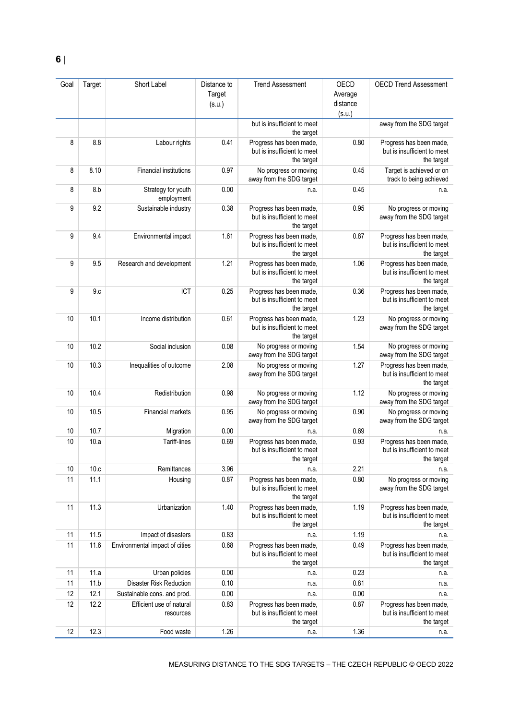| Goal | Target | Short Label                           | Distance to<br>Target<br>(s.u.) | <b>Trend Assessment</b>                                              | OECD<br>Average<br>distance<br>(s.u.) | <b>OECD Trend Assessment</b>                                         |
|------|--------|---------------------------------------|---------------------------------|----------------------------------------------------------------------|---------------------------------------|----------------------------------------------------------------------|
|      |        |                                       |                                 | but is insufficient to meet<br>the target                            |                                       | away from the SDG target                                             |
| 8    | 8.8    | Labour rights                         | 0.41                            | Progress has been made,<br>but is insufficient to meet<br>the target | 0.80                                  | Progress has been made,<br>but is insufficient to meet<br>the target |
| 8    | 8.10   | <b>Financial institutions</b>         | 0.97                            | No progress or moving<br>away from the SDG target                    | 0.45                                  | Target is achieved or on<br>track to being achieved                  |
| 8    | 8.b    | Strategy for youth<br>employment      | 0.00                            | n.a.                                                                 | 0.45                                  | n.a.                                                                 |
| 9    | 9.2    | Sustainable industry                  | 0.38                            | Progress has been made,<br>but is insufficient to meet<br>the target | 0.95                                  | No progress or moving<br>away from the SDG target                    |
| 9    | 9.4    | Environmental impact                  | 1.61                            | Progress has been made,<br>but is insufficient to meet<br>the target | 0.87                                  | Progress has been made,<br>but is insufficient to meet<br>the target |
| 9    | 9.5    | Research and development              | 1.21                            | Progress has been made,<br>but is insufficient to meet<br>the target | 1.06                                  | Progress has been made,<br>but is insufficient to meet<br>the target |
| 9    | 9.c    | ICT                                   | 0.25                            | Progress has been made,<br>but is insufficient to meet<br>the target | 0.36                                  | Progress has been made,<br>but is insufficient to meet<br>the target |
| 10   | 10.1   | Income distribution                   | 0.61                            | Progress has been made,<br>but is insufficient to meet<br>the target | 1.23                                  | No progress or moving<br>away from the SDG target                    |
| 10   | 10.2   | Social inclusion                      | 0.08                            | No progress or moving<br>away from the SDG target                    | 1.54                                  | No progress or moving<br>away from the SDG target                    |
| 10   | 10.3   | Inequalities of outcome               | 2.08                            | No progress or moving<br>away from the SDG target                    | 1.27                                  | Progress has been made,<br>but is insufficient to meet<br>the target |
| 10   | 10.4   | Redistribution                        | 0.98                            | No progress or moving<br>away from the SDG target                    | 1.12                                  | No progress or moving<br>away from the SDG target                    |
| 10   | 10.5   | Financial markets                     | 0.95                            | No progress or moving<br>away from the SDG target                    | 0.90                                  | No progress or moving<br>away from the SDG target                    |
| 10   | 10.7   | Migration                             | 0.00                            | n.a.                                                                 | 0.69                                  | n.a.                                                                 |
| 10   | 10.a   | Tariff-lines                          | 0.69                            | Progress has been made,<br>but is insufficient to meet<br>the target | 0.93                                  | Progress has been made,<br>but is insufficient to meet<br>the target |
| 10   | 10.c   | Remittances                           | 3.96                            | n.a.                                                                 | 2.21                                  | n.a.                                                                 |
| 11   | 11.1   | Housing                               | 0.87                            | Progress has been made,<br>but is insufficient to meet<br>the target | 0.80                                  | No progress or moving<br>away from the SDG target                    |
| 11   | 11.3   | Urbanization                          | 1.40                            | Progress has been made,<br>but is insufficient to meet<br>the target | 1.19                                  | Progress has been made,<br>but is insufficient to meet<br>the target |
| 11   | 11.5   | Impact of disasters                   | 0.83                            | n.a.                                                                 | 1.19                                  | n.a.                                                                 |
| 11   | 11.6   | Environmental impact of cities        | 0.68                            | Progress has been made,<br>but is insufficient to meet<br>the target | 0.49                                  | Progress has been made,<br>but is insufficient to meet<br>the target |
| 11   | 11.a   | Urban policies                        | 0.00                            | n.a.                                                                 | 0.23                                  | n.a.                                                                 |
| 11   | 11.b   | <b>Disaster Risk Reduction</b>        | 0.10                            | n.a.                                                                 | 0.81                                  | n.a.                                                                 |
| 12   | 12.1   | Sustainable cons. and prod.           | 0.00                            | n.a.                                                                 | 0.00                                  | n.a.                                                                 |
| 12   | 12.2   | Efficient use of natural<br>resources | 0.83                            | Progress has been made,<br>but is insufficient to meet<br>the target | 0.87                                  | Progress has been made,<br>but is insufficient to meet<br>the target |
| 12   | 12.3   | Food waste                            | 1.26                            | n.a.                                                                 | 1.36                                  | n.a.                                                                 |

MEASURING DISTANCE TO THE SDG TARGETS – THE CZECH REPUBLIC © OECD 2022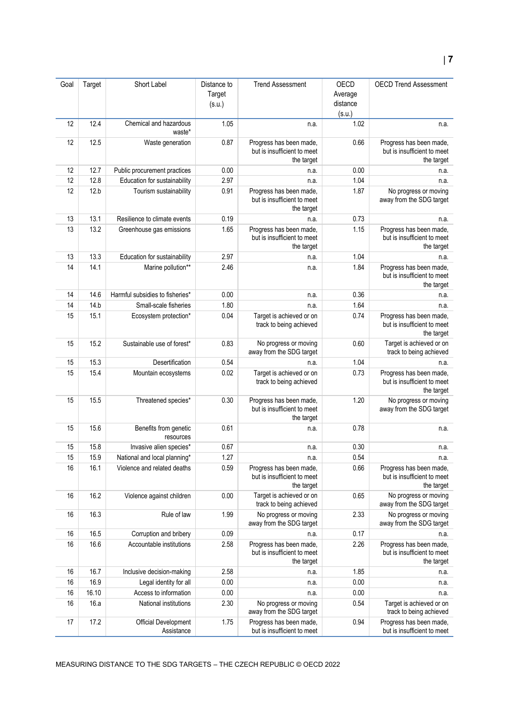| Goal | Target | Short Label                        | Distance to<br>Target<br>(s.u.) | <b>Trend Assessment</b>                                              | OECD<br>Average<br>distance<br>(s.u.) | <b>OECD Trend Assessment</b>                                         |
|------|--------|------------------------------------|---------------------------------|----------------------------------------------------------------------|---------------------------------------|----------------------------------------------------------------------|
| 12   | 12.4   | Chemical and hazardous<br>waste*   | 1.05                            | n.a.                                                                 | 1.02                                  | n.a.                                                                 |
| 12   | 12.5   | Waste generation                   | 0.87                            | Progress has been made,<br>but is insufficient to meet<br>the target | 0.66                                  | Progress has been made,<br>but is insufficient to meet<br>the target |
| 12   | 12.7   | Public procurement practices       | 0.00                            | n.a.                                                                 | 0.00                                  | n.a.                                                                 |
| 12   | 12.8   | Education for sustainability       | 2.97                            | n.a.                                                                 | 1.04                                  | n.a.                                                                 |
| 12   | 12.b   | Tourism sustainability             | 0.91                            | Progress has been made,<br>but is insufficient to meet<br>the target | 1.87                                  | No progress or moving<br>away from the SDG target                    |
| 13   | 13.1   | Resilience to climate events       | 0.19                            | n.a.                                                                 | 0.73                                  | n.a.                                                                 |
| 13   | 13.2   | Greenhouse gas emissions           | 1.65                            | Progress has been made,<br>but is insufficient to meet<br>the target | 1.15                                  | Progress has been made,<br>but is insufficient to meet<br>the target |
| 13   | 13.3   | Education for sustainability       | 2.97                            | n.a.                                                                 | 1.04                                  | n.a.                                                                 |
| 14   | 14.1   | Marine pollution**                 | 2.46                            | n.a.                                                                 | 1.84                                  | Progress has been made,<br>but is insufficient to meet<br>the target |
| 14   | 14.6   | Harmful subsidies to fisheries*    | 0.00                            | n.a.                                                                 | 0.36                                  | n.a.                                                                 |
| 14   | 14.b   | Small-scale fisheries              | 1.80                            | n.a.                                                                 | 1.64                                  | n.a.                                                                 |
| 15   | 15.1   | Ecosystem protection*              | 0.04                            | Target is achieved or on<br>track to being achieved                  | 0.74                                  | Progress has been made,<br>but is insufficient to meet<br>the target |
| 15   | 15.2   | Sustainable use of forest*         | 0.83                            | No progress or moving<br>away from the SDG target                    | 0.60                                  | Target is achieved or on<br>track to being achieved                  |
| 15   | 15.3   | Desertification                    | 0.54                            | n.a.                                                                 | 1.04                                  | n.a.                                                                 |
| 15   | 15.4   | Mountain ecosystems                | 0.02                            | Target is achieved or on<br>track to being achieved                  | 0.73                                  | Progress has been made,<br>but is insufficient to meet<br>the target |
| 15   | 15.5   | Threatened species*                | 0.30                            | Progress has been made,<br>but is insufficient to meet<br>the target | 1.20                                  | No progress or moving<br>away from the SDG target                    |
| 15   | 15.6   | Benefits from genetic<br>resources | 0.61                            | n.a.                                                                 | 0.78                                  | n.a.                                                                 |
| 15   | 15.8   | Invasive alien species*            | 0.67                            | n.a.                                                                 | 0.30                                  | n.a.                                                                 |
| 15   | 15.9   | National and local planning*       | 1.27                            | n.a.                                                                 | 0.54                                  | n.a.                                                                 |
| 16   | 16.1   | Violence and related deaths        | 0.59                            | Progress has been made,<br>but is insufficient to meet<br>the target | 0.66                                  | Progress has been made,<br>but is insufficient to meet<br>the target |
| 16   | 16.2   | Violence against children          | 0.00                            | Target is achieved or on<br>track to being achieved                  | 0.65                                  | No progress or moving<br>away from the SDG target                    |
| 16   | 16.3   | Rule of law                        | 1.99                            | No progress or moving<br>away from the SDG target                    | 2.33                                  | No progress or moving<br>away from the SDG target                    |
| 16   | 16.5   | Corruption and bribery             | 0.09                            | n.a.                                                                 | 0.17                                  | n.a.                                                                 |
| 16   | 16.6   | Accountable institutions           | 2.58                            | Progress has been made,<br>but is insufficient to meet<br>the target | 2.26                                  | Progress has been made,<br>but is insufficient to meet<br>the target |
| 16   | 16.7   | Inclusive decision-making          | 2.58                            | n.a.                                                                 | 1.85                                  | n.a.                                                                 |
| 16   | 16.9   | Legal identity for all             | 0.00                            | n.a.                                                                 | 0.00                                  | n.a.                                                                 |
| 16   | 16.10  | Access to information              | 0.00                            | n.a.                                                                 | 0.00                                  | n.a.                                                                 |
| 16   | 16.a   | National institutions              | 2.30                            | No progress or moving<br>away from the SDG target                    | 0.54                                  | Target is achieved or on<br>track to being achieved                  |
| 17   | 17.2   | Official Development<br>Assistance | 1.75                            | Progress has been made,<br>but is insufficient to meet               | 0.94                                  | Progress has been made,<br>but is insufficient to meet               |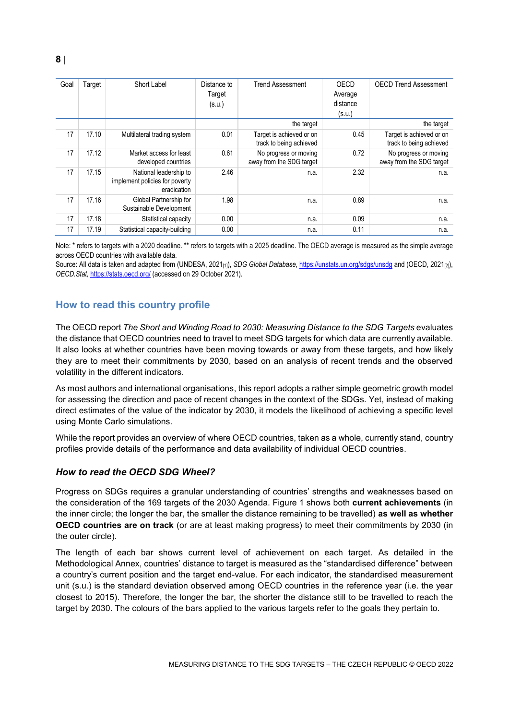| Goal | Target | Short Label                                                             | Distance to<br>Target<br>(s.u.) | <b>Trend Assessment</b>                             | OECD<br>Average<br>distance<br>(s.u.) | <b>OECD Trend Assessment</b>                        |
|------|--------|-------------------------------------------------------------------------|---------------------------------|-----------------------------------------------------|---------------------------------------|-----------------------------------------------------|
|      |        |                                                                         |                                 | the target                                          |                                       | the target                                          |
| 17   | 17.10  | Multilateral trading system                                             | 0.01                            | Target is achieved or on<br>track to being achieved | 0.45                                  | Target is achieved or on<br>track to being achieved |
| 17   | 17.12  | Market access for least<br>developed countries                          | 0.61                            | No progress or moving<br>away from the SDG target   | 0.72                                  | No progress or moving<br>away from the SDG target   |
| 17   | 17.15  | National leadership to<br>implement policies for poverty<br>eradication | 2.46                            | n.a.                                                | 2.32                                  | n.a.                                                |
| 17   | 17.16  | Global Partnership for<br>Sustainable Development                       | 1.98                            | n.a.                                                | 0.89                                  | n.a.                                                |
| 17   | 17.18  | Statistical capacity                                                    | 0.00                            | n.a.                                                | 0.09                                  | n.a.                                                |
| 17   | 17.19  | Statistical capacity-building                                           | 0.00                            | n.a.                                                | 0.11                                  | n.a.                                                |

Note: \* refers to targets with a 2020 deadline. \*\* refers to targets with a 2025 deadline. The OECD average is measured as the simple average across OECD countries with available data.

Source: All data is taken and adapted from (UNDESA, 2021<sub>[1]</sub>), *SDG Global Database*[, https://unstats.un.org/sdgs/unsdg](https://unstats.un.org/sdgs/unsdg) and (OECD, 2021<sub>[2]</sub>), *OECD.Stat,* <https://stats.oecd.org/> (accessed on 29 October 2021).

## <span id="page-7-0"></span>**How to read this country profile**

The OECD report *The Short and Winding Road to 2030: Measuring Distance to the SDG Targets* evaluates the distance that OECD countries need to travel to meet SDG targets for which data are currently available. It also looks at whether countries have been moving towards or away from these targets, and how likely they are to meet their commitments by 2030, based on an analysis of recent trends and the observed volatility in the different indicators.

As most authors and international organisations, this report adopts a rather simple geometric growth model for assessing the direction and pace of recent changes in the context of the SDGs. Yet, instead of making direct estimates of the value of the indicator by 2030, it models the likelihood of achieving a specific level using Monte Carlo simulations.

While the report provides an overview of where OECD countries, taken as a whole, currently stand, country profiles provide details of the performance and data availability of individual OECD countries.

#### *How to read the OECD SDG Wheel?*

Progress on SDGs requires a granular understanding of countries' strengths and weaknesses based on the consideration of the 169 targets of the 2030 Agenda. [Figure](#page-0-0) 1 shows both **current achievements** (in the inner circle; the longer the bar, the smaller the distance remaining to be travelled) **as well as whether OECD countries are on track** (or are at least making progress) to meet their commitments by 2030 (in the outer circle).

The length of each bar shows current level of achievement on each target. As detailed in the Methodological Annex, countries' distance to target is measured as the "standardised difference" between a country's current position and the target end-value. For each indicator, the standardised measurement unit (s.u.) is the standard deviation observed among OECD countries in the reference year (i.e. the year closest to 2015). Therefore, the longer the bar, the shorter the distance still to be travelled to reach the target by 2030. The colours of the bars applied to the various targets refer to the goals they pertain to.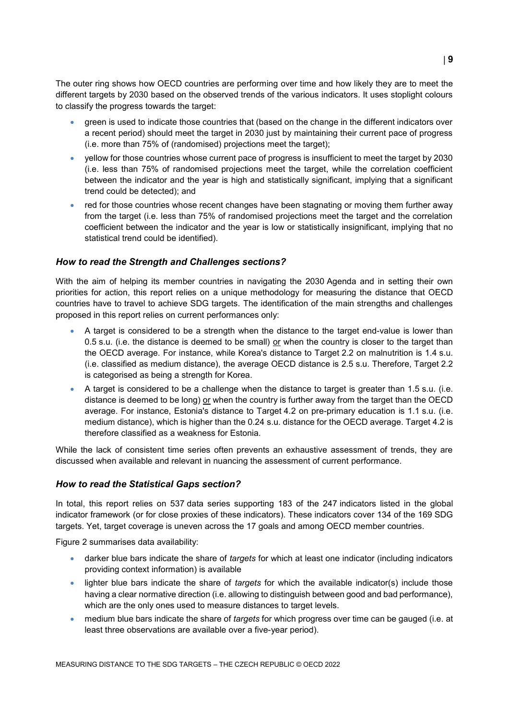The outer ring shows how OECD countries are performing over time and how likely they are to meet the different targets by 2030 based on the observed trends of the various indicators. It uses stoplight colours to classify the progress towards the target:

- green is used to indicate those countries that (based on the change in the different indicators over a recent period) should meet the target in 2030 just by maintaining their current pace of progress (i.e. more than 75% of (randomised) projections meet the target);
- yellow for those countries whose current pace of progress is insufficient to meet the target by 2030 (i.e. less than 75% of randomised projections meet the target, while the correlation coefficient between the indicator and the year is high and statistically significant, implying that a significant trend could be detected); and
- red for those countries whose recent changes have been stagnating or moving them further away from the target (i.e. less than 75% of randomised projections meet the target and the correlation coefficient between the indicator and the year is low or statistically insignificant, implying that no statistical trend could be identified).

### *How to read the Strength and Challenges sections?*

With the aim of helping its member countries in navigating the 2030 Agenda and in setting their own priorities for action, this report relies on a unique methodology for measuring the distance that OECD countries have to travel to achieve SDG targets. The identification of the main strengths and challenges proposed in this report relies on current performances only:

- A target is considered to be a strength when the distance to the target end-value is lower than 0.5 s.u. (i.e. the distance is deemed to be small) or when the country is closer to the target than the OECD average. For instance, while Korea's distance to Target 2.2 on malnutrition is 1.4 s.u. (i.e. classified as medium distance), the average OECD distance is 2.5 s.u. Therefore, Target 2.2 is categorised as being a strength for Korea.
- A target is considered to be a challenge when the distance to target is greater than 1.5 s.u. (i.e. distance is deemed to be long) or when the country is further away from the target than the OECD average. For instance, Estonia's distance to Target 4.2 on pre-primary education is 1.1 s.u. (i.e. medium distance), which is higher than the 0.24 s.u. distance for the OECD average. Target 4.2 is therefore classified as a weakness for Estonia.

While the lack of consistent time series often prevents an exhaustive assessment of trends, they are discussed when available and relevant in nuancing the assessment of current performance.

#### *How to read the Statistical Gaps section?*

In total, this report relies on 537 data series supporting 183 of the 247 indicators listed in the global indicator framework (or for close proxies of these indicators). These indicators cover 134 of the 169 SDG targets. Yet, target coverage is uneven across the 17 goals and among OECD member countries.

[Figure](#page-2-0) 2 summarises data availability:

- darker blue bars indicate the share of *targets* for which at least one indicator (including indicators providing context information) is available
- lighter blue bars indicate the share of *targets* for which the available indicator(s) include those having a clear normative direction (i.e. allowing to distinguish between good and bad performance), which are the only ones used to measure distances to target levels.
- medium blue bars indicate the share of *targets* for which progress over time can be gauged (i.e. at least three observations are available over a five-year period).